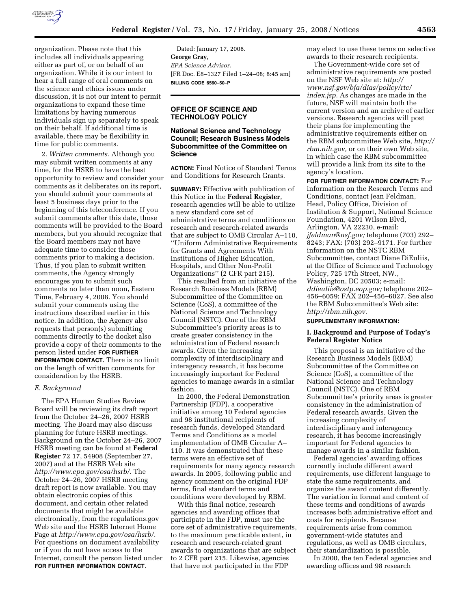

organization. Please note that this includes all individuals appearing either as part of, or on behalf of an organization. While it is our intent to hear a full range of oral comments on the science and ethics issues under discussion, it is not our intent to permit organizations to expand these time limitations by having numerous individuals sign up separately to speak on their behalf. If additional time is available, there may be flexibility in time for public comments.

2. *Written comments.* Although you may submit written comments at any time, for the HSRB to have the best opportunity to review and consider your comments as it deliberates on its report, you should submit your comments at least 5 business days prior to the beginning of this teleconference. If you submit comments after this date, those comments will be provided to the Board members, but you should recognize that the Board members may not have adequate time to consider those comments prior to making a decision. Thus, if you plan to submit written comments, the Agency strongly encourages you to submit such comments no later than noon, Eastern Time, February 4, 2008. You should submit your comments using the instructions described earlier in this notice. In addition, the Agency also requests that person(s) submitting comments directly to the docket also provide a copy of their comments to the person listed under **FOR FURTHER INFORMATION CONTACT**. There is no limit on the length of written comments for consideration by the HSRB.

#### *E. Background*

The EPA Human Studies Review Board will be reviewing its draft report from the October 24–26, 2007 HSRB meeting. The Board may also discuss planning for future HSRB meetings. Background on the October 24–26, 2007 HSRB meeting can be found at **Federal Register** 72 17, 54908 (September 27, 2007) and at the HSRB Web site *http://www.epa.gov/osa/hsrb/.* The October 24–26, 2007 HSRB meeting draft report is now available. You may obtain electronic copies of this document, and certain other related documents that might be available electronically, from the regulations.gov Web site and the HSRB Internet Home Page at *http://www.epa.gov/osa/hsrb/.*  For questions on document availability or if you do not have access to the Internet, consult the person listed under **FOR FURTHER INFORMATION CONTACT**.

Dated: January 17, 2008. **George Gray,**  *EPA Science Advisor.*  [FR Doc. E8–1327 Filed 1–24–08; 8:45 am] **BILLING CODE 6560–50–P** 

# **OFFICE OF SCIENCE AND TECHNOLOGY POLICY**

### **National Science and Technology Council; Research Business Models Subcommittee of the Committee on Science**

**ACTION:** Final Notice of Standard Terms and Conditions for Research Grants.

**SUMMARY:** Effective with publication of this Notice in the **Federal Register**, research agencies will be able to utilize a new standard core set of administrative terms and conditions on research and research-related awards that are subject to OMB Circular A–110, ''Uniform Administrative Requirements for Grants and Agreements With Institutions of Higher Education, Hospitals, and Other Non-Profit Organizations'' (2 CFR part 215).

This resulted from an initiative of the Research Business Models (RBM) Subcommittee of the Committee on Science (CoS), a committee of the National Science and Technology Council (NSTC). One of the RBM Subcommittee's priority areas is to create greater consistency in the administration of Federal research awards. Given the increasing complexity of interdisciplinary and interagency research, it has become increasingly important for Federal agencies to manage awards in a similar fashion.

In 2000, the Federal Demonstration Partnership (FDP), a cooperative initiative among 10 Federal agencies and 98 institutional recipients of research funds, developed Standard Terms and Conditions as a model implementation of OMB Circular A– 110. It was demonstrated that these terms were an effective set of requirements for many agency research awards. In 2005, following public and agency comment on the original FDP terms, final standard terms and conditions were developed by RBM.

With this final notice, research agencies and awarding offices that participate in the FDP, must use the core set of administrative requirements, to the maximum practicable extent, in research and research-related grant awards to organizations that are subject to 2 CFR part 215. Likewise, agencies that have not participated in the FDP

may elect to use these terms on selective awards to their research recipients.

The Government-wide core set of administrative requirements are posted on the NSF Web site at: *http:// www.nsf.gov/bfa/dias/policy/rtc/ index.jsp.* As changes are made in the future, NSF will maintain both the current version and an archive of earlier versions. Research agencies will post their plans for implementing the administrative requirements either on the RBM subcommittee Web site, *http:// rbm.nih.gov,* or on their own Web site, in which case the RBM subcommittee will provide a link from its site to the agency's location.

**FOR FURTHER INFORMATION CONTACT:** For information on the Research Terms and Conditions, contact Jean Feldman, Head, Policy Office, Division of Institution & Support, National Science Foundation, 4201 Wilson Blvd, Arlington, VA 22230, e-mail: *jfeldman@nsf.gov;* telephone (703) 292– 8243; FAX: (703) 292–9171. For further information on the NSTC RBM Subcommittee, contact Diane DiEuliis, at the Office of Science and Technology Policy, 725 17th Street, NW., Washington, DC 20503; e-mail: *ddieuliis@ostp.eop.gov;* telephone 202– 456–6059; FAX 202–456–6027. See also the RBM Subcommittee's Web site: *http://rbm.nih.gov.* 

# **SUPPLEMENTARY INFORMATION:**

### **I. Background and Purpose of Today's Federal Register Notice**

This proposal is an initiative of the Research Business Models (RBM) Subcommittee of the Committee on Science (CoS), a committee of the National Science and Technology Council (NSTC). One of RBM Subcommittee's priority areas is greater consistency in the administration of Federal research awards. Given the increasing complexity of interdisciplinary and interagency research, it has become increasingly important for Federal agencies to manage awards in a similar fashion.

Federal agencies' awarding offices currently include different award requirements, use different language to state the same requirements, and organize the award content differently. The variation in format and content of these terms and conditions of awards increases both administrative effort and costs for recipients. Because requirements arise from common government-wide statutes and regulations, as well as OMB circulars, their standardization is possible.

In 2000, the ten Federal agencies and awarding offices and 98 research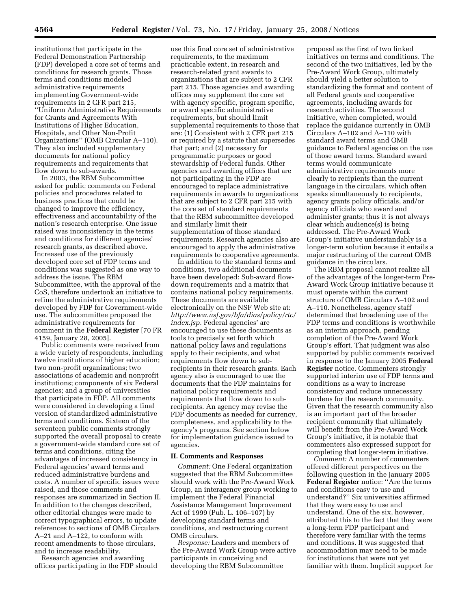institutions that participate in the Federal Demonstration Partnership (FDP) developed a core set of terms and conditions for research grants. Those terms and conditions modeled administrative requirements implementing Government-wide requirements in 2 CFR part 215, ''Uniform Administrative Requirements for Grants and Agreements With Institutions of Higher Education, Hospitals, and Other Non-Profit Organizations'' (OMB Circular A–110). They also included supplementary documents for national policy requirements and requirements that flow down to sub-awards.

In 2003, the RBM Subcommittee asked for public comments on Federal policies and procedures related to business practices that could be changed to improve the efficiency, effectiveness and accountability of the nation's research enterprise. One issue raised was inconsistency in the terms and conditions for different agencies' research grants, as described above. Increased use of the previously developed core set of FDP terms and conditions was suggested as one way to address the issue. The RBM Subcommittee, with the approval of the CoS, therefore undertook an initiative to refine the administrative requirements developed by FDP for Government-wide use. The subcommittee proposed the administrative requirements for comment in the **Federal Register** [70 FR 4159, January 28, 2005].

Public comments were received from a wide variety of respondents, including twelve institutions of higher education; two non-profit organizations; two associations of academic and nonprofit institutions; components of six Federal agencies; and a group of universities that participate in FDP. All comments were considered in developing a final version of standardized administrative terms and conditions. Sixteen of the seventeen public comments strongly supported the overall proposal to create a government-wide standard core set of terms and conditions, citing the advantages of increased consistency in Federal agencies' award terms and reduced administrative burdens and costs. A number of specific issues were raised, and those comments and responses are summarized in Section II. In addition to the changes described, other editorial changes were made to correct typographical errors, to update references to sections of OMB Circulars A–21 and A–122, to conform with recent amendments to those circulars, and to increase readability.

Research agencies and awarding offices participating in the FDP should

use this final core set of administrative requirements, to the maximum practicable extent, in research and research-related grant awards to organizations that are subject to 2 CFR part 215. Those agencies and awarding offices may supplement the core set with agency specific, program specific, or award specific administrative requirements, but should limit supplemental requirements to those that are: (1) Consistent with 2 CFR part 215 or required by a statute that supersedes that part; and (2) necessary for programmatic purposes or good stewardship of Federal funds. Other agencies and awarding offices that are not participating in the FDP are encouraged to replace administrative requirements in awards to organizations that are subject to 2 CFR part 215 with the core set of standard requirements that the RBM subcommittee developed and similarly limit their supplementation of those standard requirements. Research agencies also are encouraged to apply the administrative requirements to cooperative agreements.

In addition to the standard terms and conditions, two additional documents have been developed: Sub-award flowdown requirements and a matrix that contains national policy requirements. These documents are available electronically on the NSF Web site at: *http://www.nsf.gov/bfa/dias/policy/rtc/ index.jsp.* Federal agencies' are encouraged to use these documents as tools to precisely set forth which national policy laws and regulations apply to their recipients, and what requirements flow down to subrecipients in their research grants. Each agency also is encouraged to use the documents that the FDP maintains for national policy requirements and requirements that flow down to subrecipients. An agency may revise the FDP documents as needed for currency, completeness, and applicability to the agency's programs. See section below for implementation guidance issued to agencies.

### **II. Comments and Responses**

*Comment:* One Federal organization suggested that the RBM Subcommittee should work with the Pre-Award Work Group, an interagency group working to implement the Federal Financial Assistance Management Improvement Act of 1999 (Pub. L. 106–107) by developing standard terms and conditions, and restructuring current OMB circulars.

*Response:* Leaders and members of the Pre-Award Work Group were active participants in conceiving and developing the RBM Subcommittee

proposal as the first of two linked initiatives on terms and conditions. The second of the two initiatives, led by the Pre-Award Work Group, ultimately should yield a better solution to standardizing the format and content of all Federal grants and cooperative agreements, including awards for research activities. The second initiative, when completed, would replace the guidance currently in OMB Circulars A–102 and A–110 with standard award terms and OMB guidance to Federal agencies on the use of those award terms. Standard award terms would communicate administrative requirements more clearly to recipients than the current language in the circulars, which often speaks simultaneously to recipients, agency grants policy officials, and/or agency officials who award and administer grants; thus it is not always clear which audience(s) is being addressed. The Pre-Award Work Group's initiative understandably is a longer-term solution because it entails a major restructuring of the current OMB guidance in the circulars.

The RBM proposal cannot realize all of the advantages of the longer-term Pre-Award Work Group initiative because it must operate within the current structure of OMB Circulars A–102 and A–110. Nonetheless, agency staff determined that broadening use of the FDP terms and conditions is worthwhile as an interim approach, pending completion of the Pre-Award Work Group's effort. That judgment was also supported by public comments received in response to the January 2005 **Federal Register** notice. Commenters strongly supported interim use of FDP terms and conditions as a way to increase consistency and reduce unnecessary burdens for the research community. Given that the research community also is an important part of the broader recipient community that ultimately will benefit from the Pre-Award Work Group's initiative, it is notable that commenters also expressed support for completing that longer-term initiative.

*Comment:* A number of commenters offered different perspectives on the following question in the January 2005 **Federal Register** notice: ''Are the terms and conditions easy to use and understand?'' Six universities affirmed that they were easy to use and understand. One of the six, however, attributed this to the fact that they were a long-term FDP participant and therefore very familiar with the terms and conditions. It was suggested that accommodation may need to be made for institutions that were not yet familiar with them. Implicit support for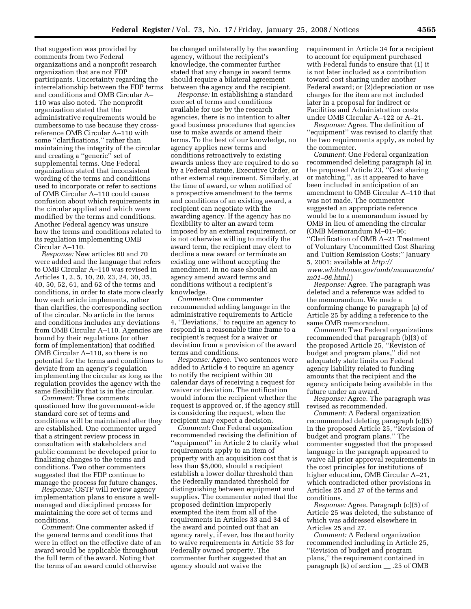that suggestion was provided by comments from two Federal organizations and a nonprofit research organization that are not FDP participants. Uncertainty regarding the interrelationship between the FDP terms and conditions and OMB Circular A– 110 was also noted. The nonprofit organization stated that the administrative requirements would be cumbersome to use because they crossreference OMB Circular A–110 with some "clarifications," rather than maintaining the integrity of the circular and creating a ''generic'' set of supplemental terms. One Federal organization stated that inconsistent wording of the terms and conditions used to incorporate or refer to sections of OMB Circular A–110 could cause confusion about which requirements in the circular applied and which were modified by the terms and conditions. Another Federal agency was unsure how the terms and conditions related to its regulation implementing OMB Circular A–110.

*Response:* New articles 60 and 70 were added and the language that refers to OMB Circular A–110 was revised in Articles 1, 2, 5, 10, 20, 23, 24, 30, 35, 40, 50, 52, 61, and 62 of the terms and conditions, in order to state more clearly how each article implements, rather than clarifies, the corresponding section of the circular. No article in the terms and conditions includes any deviations from OMB Circular A–110. Agencies are bound by their regulations (or other form of implementation) that codified OMB Circular A–110, so there is no potential for the terms and conditions to deviate from an agency's regulation implementing the circular as long as the regulation provides the agency with the same flexibility that is in the circular.

*Comment:* Three comments questioned how the government-wide standard core set of terms and conditions will be maintained after they are established. One commenter urged that a stringent review process in consultation with stakeholders and public comment be developed prior to finalizing changes to the terms and conditions. Two other commenters suggested that the FDP continue to manage the process for future changes.

*Response:* OSTP will review agency implementation plans to ensure a wellmanaged and disciplined process for maintaining the core set of terms and conditions.

*Comment:* One commenter asked if the general terms and conditions that were in effect on the effective date of an award would be applicable throughout the full term of the award. Noting that the terms of an award could otherwise

be changed unilaterally by the awarding agency, without the recipient's knowledge, the commenter further stated that any change in award terms should require a bilateral agreement between the agency and the recipient.

*Response:* In establishing a standard core set of terms and conditions available for use by the research agencies, there is no intention to alter good business procedures that agencies use to make awards or amend their terms. To the best of our knowledge, no agency applies new terms and conditions retroactively to existing awards unless they are required to do so by a Federal statute, Executive Order, or other external requirement. Similarly, at the time of award, or when notified of a prospective amendment to the terms and conditions of an existing award, a recipient can negotiate with the awarding agency. If the agency has no flexibility to alter an award term imposed by an external requirement, or is not otherwise willing to modify the award term, the recipient may elect to decline a new award or terminate an existing one without accepting the amendment. In no case should an agency amend award terms and conditions without a recipient's knowledge.

*Comment:* One commenter recommended adding language in the administrative requirements to Article 4, ''Deviations,'' to require an agency to respond in a reasonable time frame to a recipient's request for a waiver or deviation from a provision of the award terms and conditions.

*Response:* Agree. Two sentences were added to Article 4 to require an agency to notify the recipient within 30 calendar days of receiving a request for waiver or deviation. The notification would inform the recipient whether the request is approved or, if the agency still is considering the request, when the recipient may expect a decision.

*Comment:* One Federal organization recommended revising the definition of ''equipment'' in Article 2 to clarify what requirements apply to an item of property with an acquisition cost that is less than \$5,000, should a recipient establish a lower dollar threshold than the Federally mandated threshold for distinguishing between equipment and supplies. The commenter noted that the proposed definition improperly exempted the item from all of the requirements in Articles 33 and 34 of the award and pointed out that an agency rarely, if ever, has the authority to waive requirements in Article 33 for Federally owned property. The commenter further suggested that an agency should not waive the

requirement in Article 34 for a recipient to account for equipment purchased with Federal funds to ensure that (1) it is not later included as a contribution toward cost sharing under another Federal award; or (2)depreciation or use charges for the item are not included later in a proposal for indirect or Facilities and Administration costs under OMB Circular A–122 or A–21.

*Response:* Agree. The definition of ''equipment'' was revised to clarify that the two requirements apply, as noted by the commenter.

*Comment:* One Federal organization recommended deleting paragraph (a) in the proposed Article 23, ''Cost sharing or matching.'', as it appeared to have been included in anticipation of an amendment to OMB Circular A–110 that was not made. The commenter suggested an appropriate reference would be to a memorandum issued by OMB in lieu of amending the circular (OMB Memorandum M–01–06; ''Clarification of OMB A–21 Treatment of Voluntary Uncommitted Cost Sharing and Tuition Remission Costs;'' January 5, 2001; available at *http:// www.whitehouse.gov/omb/memoranda/ m01–06.html.*)

*Response:* Agree. The paragraph was deleted and a reference was added to the memorandum. We made a conforming change to paragraph (a) of Article 25 by adding a reference to the same OMB memorandum.

*Comment:* Two Federal organizations recommended that paragraph (b)(3) of the proposed Article 25, ''Revision of budget and program plans,'' did not adequately state limits on Federal agency liability related to funding amounts that the recipient and the agency anticipate being available in the future under an award.

*Response:* Agree. The paragraph was revised as recommended.

*Comment:* A Federal organization recommended deleting paragraph (c)(5) in the proposed Article 25, ''Revision of budget and program plans.'' The commenter suggested that the proposed language in the paragraph appeared to waive all prior approval requirements in the cost principles for institutions of higher education, OMB Circular A–21, which contradicted other provisions in Articles 25 and 27 of the terms and conditions.

*Response:* Agree. Paragraph (c)(5) of Article 25 was deleted, the substance of which was addressed elsewhere in Articles 25 and 27.

*Comment:* A Federal organization recommended including in Article 25, ''Revision of budget and program plans,'' the requirement contained in paragraph (k) of section \_\_ .25 of OMB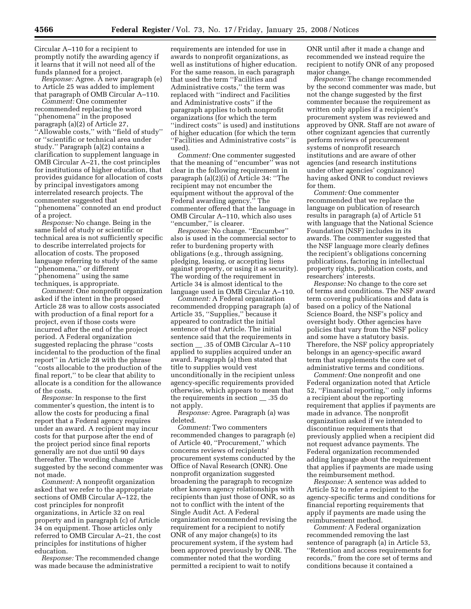Circular A–110 for a recipient to promptly notify the awarding agency if it learns that it will not need all of the funds planned for a project.

*Response:* Agree. A new paragraph (e) to Article 25 was added to implement that paragraph of OMB Circular A–110.

*Comment:* One commenter recommended replacing the word ''phenomena'' in the proposed paragraph (a)(2) of Article 27, ''Allowable costs,'' with ''field of study'' or ''scientific or technical area under study.'' Paragraph (a)(2) contains a clarification to supplement language in OMB Circular A–21, the cost principles for institutions of higher education, that provides guidance for allocation of costs by principal investigators among interrelated research projects. The commenter suggested that ''phenomena'' connoted an end product of a project.

*Response:* No change. Being in the same field of study or scientific or technical area is not sufficiently specific to describe interrelated projects for allocation of costs. The proposed language referring to study of the same ''phenomena,'' or different ''phenomena'' using the same techniques, is appropriate.

*Comment:* One nonprofit organization asked if the intent in the proposed Article 28 was to allow costs associated with production of a final report for a project, even if those costs were incurred after the end of the project period. A Federal organization suggested replacing the phrase ''costs incidental to the production of the final report'' in Article 28 with the phrase ''costs allocable to the production of the final report,'' to be clear that ability to allocate is a condition for the allowance of the costs.

*Response:* In response to the first commenter's question, the intent is to allow the costs for producing a final report that a Federal agency requires under an award. A recipient may incur costs for that purpose after the end of the project period since final reports generally are not due until 90 days thereafter. The wording change suggested by the second commenter was not made.

*Comment:* A nonprofit organization asked that we refer to the appropriate sections of OMB Circular A–122, the cost principles for nonprofit organizations, in Article 32 on real property and in paragraph (c) of Article 34 on equipment. Those articles only referred to OMB Circular A–21, the cost principles for institutions of higher education.

*Response:* The recommended change was made because the administrative

requirements are intended for use in awards to nonprofit organizations, as well as institutions of higher education. For the same reason, in each paragraph that used the term ''Facilities and Administrative costs,'' the term was replaced with ''indirect and Facilities and Administrative costs'' if the paragraph applies to both nonprofit organizations (for which the term ''indirect costs'' is used) and institutions of higher education (for which the term ''Facilities and Administrative costs'' is used).

*Comment:* One commenter suggested that the meaning of ''encumber'' was not clear in the following requirement in paragraph (a)(2)(i) of Article 34: ''The recipient may not encumber the equipment without the approval of the Federal awarding agency.'' The commenter offered that the language in OMB Circular A–110, which also uses "encumber," is clearer.

*Response:* No change. ''Encumber'' also is used in the commercial sector to refer to burdening property with obligations (e.g., through assigning, pledging, leasing, or accepting liens against property, or using it as security). The wording of the requirement in Article 34 is almost identical to the language used in OMB Circular A–110.

*Comment:* A Federal organization recommended dropping paragraph (a) of Article 35, ''Supplies,'' because it appeared to contradict the initial sentence of that Article. The initial sentence said that the requirements in section \_\_ .35 of OMB Circular A–110 applied to supplies acquired under an award. Paragraph (a) then stated that title to supplies would vest unconditionally in the recipient unless agency-specific requirements provided otherwise, which appears to mean that the requirements in section \_\_ .35 do not apply.

*Response:* Agree. Paragraph (a) was deleted.

*Comment:* Two commenters recommended changes to paragraph (e) of Article 40, ''Procurement,'' which concerns reviews of recipients' procurement systems conducted by the Office of Naval Research (ONR). One nonprofit organization suggested broadening the paragraph to recognize other known agency relationships with recipients than just those of ONR, so as not to conflict with the intent of the Single Audit Act. A Federal organization recommended revising the requirement for a recipient to notify ONR of any major change(s) to its procurement system, if the system had been approved previously by ONR. The commenter noted that the wording permitted a recipient to wait to notify

ONR until after it made a change and recommended we instead require the recipient to notify ONR of any proposed major change.

*Response:* The change recommended by the second commenter was made, but not the change suggested by the first commenter because the requirement as written only applies if a recipient's procurement system was reviewed and approved by ONR. Staff are not aware of other cognizant agencies that currently perform reviews of procurement systems of nonprofit research institutions and are aware of other agencies (and research institutions under other agencies' cognizance) having asked ONR to conduct reviews for them.

*Comment:* One commenter recommended that we replace the language on publication of research results in paragraph (a) of Article 51 with language that the National Science Foundation (NSF) includes in its awards. The commenter suggested that the NSF language more clearly defines the recipient's obligations concerning publications, factoring in intellectual property rights, publication costs, and researchers' interests.

*Response:* No change to the core set of terms and conditions. The NSF award term covering publications and data is based on a policy of the National Science Board, the NSF's policy and oversight body. Other agencies have policies that vary from the NSF policy and some have a statutory basis. Therefore, the NSF policy appropriately belongs in an agency-specific award term that supplements the core set of administrative terms and conditions.

*Comment:* One nonprofit and one Federal organization noted that Article 52, ''Financial reporting,'' only informs a recipient about the reporting requirement that applies if payments are made in advance. The nonprofit organization asked if we intended to discontinue requirements that previously applied when a recipient did not request advance payments. The Federal organization recommended adding language about the requirement that applies if payments are made using the reimbursement method.

*Response:* A sentence was added to Article 52 to refer a recipient to the agency-specific terms and conditions for financial reporting requirements that apply if payments are made using the reimbursement method.

*Comment:* A Federal organization recommended removing the last sentence of paragraph (a) in Article 53, ''Retention and access requirements for records,'' from the core set of terms and conditions because it contained a